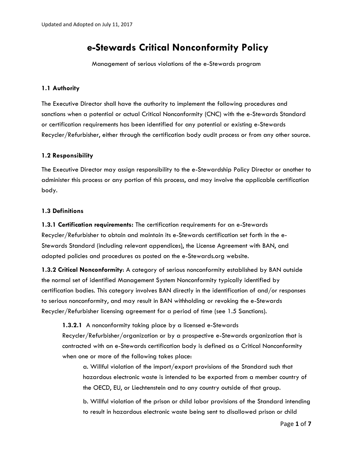# **e-Stewards Critical Nonconformity Policy**

Management of serious violations of the e-Stewards program

## **1.1 Authority**

The Executive Director shall have the authority to implement the following procedures and sanctions when a potential or actual Critical Nonconformity (CNC) with the e-Stewards Standard or certification requirements has been identified for any potential or existing e-Stewards Recycler/Refurbisher, either through the certification body audit process or from any other source.

## **1.2 Responsibility**

The Executive Director may assign responsibility to the e-Stewardship Policy Director or another to administer this process or any portion of this process, and may involve the applicable certification body.

## **1.3 Definitions**

**1.3.1 Certification requirements:** The certification requirements for an e-Stewards Recycler/Refurbisher to obtain and maintain its e-Stewards certification set forth in the e-Stewards Standard (including relevant appendices), the License Agreement with BAN, and adopted policies and procedures as posted on the e-Stewards.org website.

**1.3.2 Critical Nonconformity**: A category of serious nonconformity established by BAN outside the normal set of identified Management System Nonconformity typically identified by certification bodies. This category involves BAN directly in the identification of and/or responses to serious nonconformity, and may result in BAN withholding or revoking the e-Stewards Recycler/Refurbisher licensing agreement for a period of time (see 1.5 Sanctions).

**1.3.2.1** A nonconformity taking place by a licensed e-Stewards Recycler/Refurbisher/organization or by a prospective e-Stewards organization that is contracted with an e-Stewards certification body is defined as a Critical Nonconformity when one or more of the following takes place:

a. Willful violation of the import/export provisions of the Standard such that hazardous electronic waste is intended to be exported from a member country of the OECD, EU, or Liechtenstein and to any country outside of that group.

b. Willful violation of the prison or child labor provisions of the Standard intending to result in hazardous electronic waste being sent to disallowed prison or child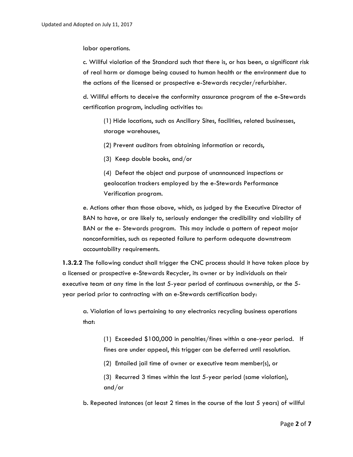labor operations.

c. Willful violation of the Standard such that there is, or has been, a significant risk of real harm or damage being caused to human health or the environment due to the actions of the licensed or prospective e-Stewards recycler/refurbisher.

d. Willful efforts to deceive the conformity assurance program of the e-Stewards certification program, including activities to:

(1) Hide locations, such as Ancillary Sites, facilities, related businesses, storage warehouses,

(2) Prevent auditors from obtaining information or records,

(3) Keep double books, and/or

(4) Defeat the object and purpose of unannounced inspections or geolocation trackers employed by the e-Stewards Performance Verification program.

e. Actions other than those above, which, as judged by the Executive Director of BAN to have, or are likely to, seriously endanger the credibility and viability of BAN or the e- Stewards program. This may include a pattern of repeat major nonconformities, such as repeated failure to perform adequate downstream accountability requirements.

**1.3.2.2** The following conduct shall trigger the CNC process should it have taken place by a licensed or prospective e-Stewards Recycler, its owner or by individuals on their executive team at any time in the last 5-year period of continuous ownership, or the 5 year period prior to contracting with an e-Stewards certification body:

a. Violation of laws pertaining to any electronics recycling business operations that:

(1) Exceeded \$100,000 in penalties/fines within a one-year period. If fines are under appeal, this trigger can be deferred until resolution.

(2) Entailed jail time of owner or executive team member(s), or

(3) Recurred 3 times within the last 5-year period (same violation), and/or

b. Repeated instances (at least 2 times in the course of the last 5 years) of willful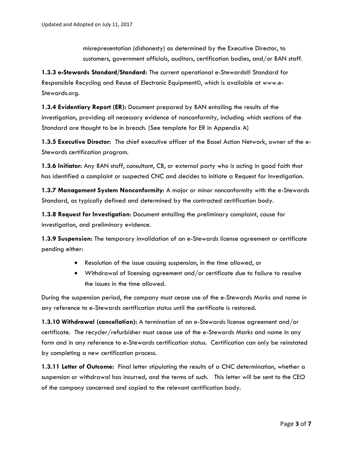misrepresentation (dishonesty) as determined by the Executive Director, to customers, government officials, auditors, certification bodies, and/or BAN staff.

**1.3.3 e-Stewards Standard/Standard:** The current operational e-Stewards® Standard for Responsible Recycling and Reuse of Electronic Equipment©, which is available at www.e-Stewards.org.

**1.3.4 Evidentiary Report (ER):** Document prepared by BAN entailing the results of the investigation, providing all necessary evidence of nonconformity, including which sections of the Standard are thought to be in breach. (See template for ER in Appendix A)

**1.3.5 Executive Director:** The chief executive officer of the Basel Action Network, owner of the e-Stewards certification program.

**1.3.6 Initiator:** Any BAN staff, consultant, CB, or external party who is acting in good faith that has identified a complaint or suspected CNC and decides to initiate a Request for Investigation.

**1.3.7 Management System Nonconformity**: A major or minor nonconformity with the e-Stewards Standard, as typically defined and determined by the contracted certification body.

**1.3.8 Request for Investigation**: Document entailing the preliminary complaint, cause for investigation, and preliminary evidence.

**1.3.9 Suspension:** The temporary invalidation of an e-Stewards license agreement or certificate pending either:

- Resolution of the issue causing suspension, in the time allowed, or
- Withdrawal of licensing agreement and/or certificate due to failure to resolve the issues in the time allowed.

During the suspension period, the company must cease use of the e-Stewards Marks and name in any reference to e-Stewards certification status until the certificate is restored.

**1.3.10 Withdrawal (cancellation):** A termination of an e-Stewards license agreement and/or certificate. The recycler/refurbisher must cease use of the e-Stewards Marks and name in any form and in any reference to e-Stewards certification status. Certification can only be reinstated by completing a new certification process.

**1.3.11 Letter of Outcome:** Final letter stipulating the results of a CNC determination, whether a suspension or withdrawal has incurred, and the terms of such. This letter will be sent to the CEO of the company concerned and copied to the relevant certification body.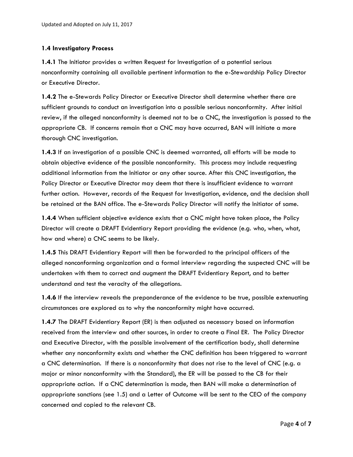## **1.4 Investigatory Process**

**1.4.1** The Initiator provides a written Request for Investigation of a potential serious nonconformity containing all available pertinent information to the e-Stewardship Policy Director or Executive Director.

**1.4.2** The e-Stewards Policy Director or Executive Director shall determine whether there are sufficient grounds to conduct an investigation into a possible serious nonconformity. After initial review, if the alleged nonconformity is deemed not to be a CNC, the investigation is passed to the appropriate CB. If concerns remain that a CNC may have occurred, BAN will initiate a more thorough CNC investigation.

**1.4.3** If an investigation of a possible CNC is deemed warranted, all efforts will be made to obtain objective evidence of the possible nonconformity. This process may include requesting additional information from the Initiator or any other source. After this CNC investigation, the Policy Director or Executive Director may deem that there is insufficient evidence to warrant further action. However, records of the Request for Investigation, evidence, and the decision shall be retained at the BAN office. The e-Stewards Policy Director will notify the Initiator of same.

**1.4.4** When sufficient objective evidence exists that a CNC might have taken place, the Policy Director will create a DRAFT Evidentiary Report providing the evidence (e.g. who, when, what, how and where) a CNC seems to be likely.

**1.4.5** This DRAFT Evidentiary Report will then be forwarded to the principal officers of the alleged nonconforming organization and a formal interview regarding the suspected CNC will be undertaken with them to correct and augment the DRAFT Evidentiary Report, and to better understand and test the veracity of the allegations.

**1.4.6** If the interview reveals the preponderance of the evidence to be true, possible extenuating circumstances are explored as to why the nonconformity might have occurred.

**1.4.7** The DRAFT Evidentiary Report (ER) is then adjusted as necessary based on information received from the interview and other sources, in order to create a Final ER. The Policy Director and Executive Director, with the possible involvement of the certification body, shall determine whether any nonconformity exists and whether the CNC definition has been triggered to warrant a CNC determination. If there is a nonconformity that does not rise to the level of CNC (e.g. a major or minor nonconformity with the Standard), the ER will be passed to the CB for their appropriate action. If a CNC determination is made, then BAN will make a determination of appropriate sanctions (see 1.5) and a Letter of Outcome will be sent to the CEO of the company concerned and copied to the relevant CB.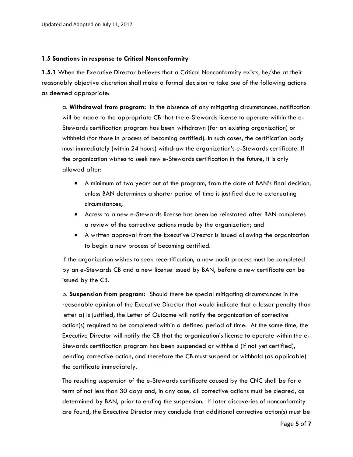#### **1.5 Sanctions in response to Critical Nonconformity**

**1.5.1** When the Executive Director believes that a Critical Nonconformity exists, he/she at their reasonably objective discretion shall make a formal decision to take one of the following actions as deemed appropriate:

a. **Withdrawal from program:** In the absence of any mitigating circumstances, notification will be made to the appropriate CB that the e-Stewards license to operate within the e-Stewards certification program has been withdrawn (for an existing organization) or withheld (for those in process of becoming certified). In such cases, the certification body must immediately (within 24 hours) withdraw the organization's e-Stewards certificate. If the organization wishes to seek new e-Stewards certification in the future, it is only allowed after:

- A minimum of two years out of the program, from the date of BAN's final decision, unless BAN determines a shorter period of time is justified due to extenuating circumstances;
- Access to a new e-Stewards license has been be reinstated after BAN completes a review of the corrective actions made by the organization; and
- A written approval from the Executive Director is issued allowing the organization to begin a new process of becoming certified.

If the organization wishes to seek recertification, a new audit process must be completed by an e-Stewards CB and a new license issued by BAN, before a new certificate can be issued by the CB.

b. **Suspension from program:** Should there be special mitigating circumstances in the reasonable opinion of the Executive Director that would indicate that a lesser penalty than letter a) is justified, the Letter of Outcome will notify the organization of corrective action(s) required to be completed within a defined period of time. At the same time, the Executive Director will notify the CB that the organization's license to operate within the e-Stewards certification program has been suspended or withheld (if not yet certified), pending corrective action, and therefore the CB must suspend or withhold (as applicable) the certificate immediately.

The resulting suspension of the e-Stewards certificate caused by the CNC shall be for a term of not less than 30 days and, in any case, all corrective actions must be cleared, as determined by BAN, prior to ending the suspension. If later discoveries of nonconformity are found, the Executive Director may conclude that additional corrective action(s) must be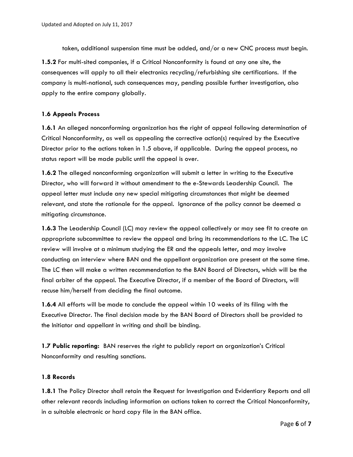taken, additional suspension time must be added, and/or a new CNC process must begin.

**1.5.2** For multi-sited companies, if a Critical Nonconformity is found at any one site, the consequences will apply to all their electronics recycling/refurbishing site certifications. If the company is multi-national, such consequences may, pending possible further investigation, also apply to the entire company globally.

#### **1.6 Appeals Process**

**1.6.1** An alleged nonconforming organization has the right of appeal following determination of Critical Nonconformity, as well as appealing the corrective action(s) required by the Executive Director prior to the actions taken in 1.5 above, if applicable. During the appeal process, no status report will be made public until the appeal is over.

**1.6.2** The alleged nonconforming organization will submit a letter in writing to the Executive Director, who will forward it without amendment to the e-Stewards Leadership Council. The appeal letter must include any new special mitigating circumstances that might be deemed relevant, and state the rationale for the appeal. Ignorance of the policy cannot be deemed a mitigating circumstance.

**1.6.3** The Leadership Council (LC) may review the appeal collectively or may see fit to create an appropriate subcommittee to review the appeal and bring its recommendations to the LC. The LC review will involve at a minimum studying the ER and the appeals letter, and may involve conducting an interview where BAN and the appellant organization are present at the same time. The LC then will make a written recommendation to the BAN Board of Directors, which will be the final arbiter of the appeal. The Executive Director, if a member of the Board of Directors, will recuse him/herself from deciding the final outcome.

**1.6.4** All efforts will be made to conclude the appeal within 10 weeks of its filing with the Executive Director. The final decision made by the BAN Board of Directors shall be provided to the Initiator and appellant in writing and shall be binding.

**1.7 Public reporting:** BAN reserves the right to publicly report an organization's Critical Nonconformity and resulting sanctions.

## **1.8 Records**

**1.8.1** The Policy Director shall retain the Request for Investigation and Evidentiary Reports and all other relevant records including information on actions taken to correct the Critical Nonconformity, in a suitable electronic or hard copy file in the BAN office.